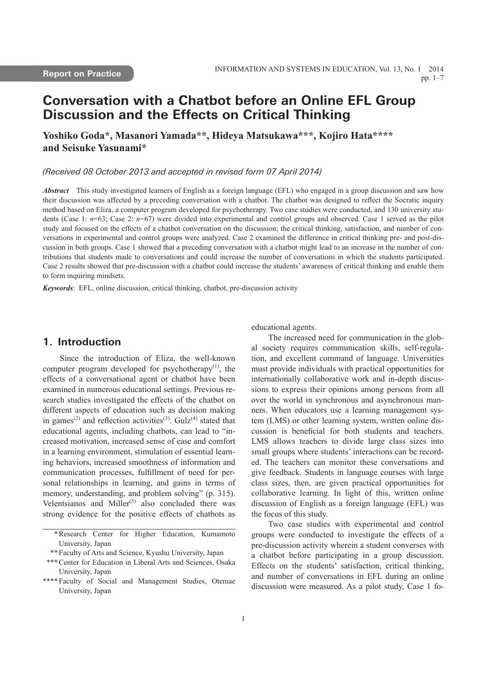# **Conversation with a Chatbot before an Online EFL Group Discussion and the Effects on Critical Thinking**

**Yoshiko Goda\*, Masanori Yamada\*\*, Hideya Matsukawa\*\*\*, Kojiro Hata\*\*\*\* and Seisuke Yasunami\***

*(Received 08 October 2013 and accepted in revised form 07 April 2014)* 

*Abstract* This study investigated learners of English as a foreign language (EFL) who engaged in a group discussion and saw how their discussion was affected by a preceding conversation with a chatbot. The chatbot was designed to reflect the Socratic inquiry method based on Eliza, a computer program developed for psychotherapy. Two case studies were conducted, and 130 university students (Case 1:  $n=63$ ; Case 2:  $n=67$ ) were divided into experimental and control groups and observed. Case 1 served as the pilot study and focused on the effects of a chatbot conversation on the discussion; the critical thinking, satisfaction, and number of conversations in experimental and control groups were analyzed. Case 2 examined the difference in critical thinking pre- and post-discussion in both groups. Case 1 showed that a preceding conversation with a chatbot might lead to an increase in the number of contributions that students made to conversations and could increase the number of conversations in which the students participated. Case 2 results showed that pre-discussion with a chatbot could increase the students' awareness of critical thinking and enable them to form inquiring mindsets.

*Keywords*: EFL, online discussion, critical thinking, chatbot, pre-discussion activity

# **1. Introduction**

Since the introduction of Eliza, the well-known computer program developed for psychotherapy $^{(1)}$ , the effects of a conversational agent or chatbot have been examined in numerous educational settings. Previous research studies investigated the effects of the chatbot on different aspects of education such as decision making in games<sup>(2)</sup> and reflection activities<sup>(3)</sup>. Gulz<sup>(4)</sup> stated that educational agents, including chatbots, can lead to "increased motivation, increased sense of ease and comfort in a learning environment, stimulation of essential learning behaviors, increased smoothness of information and communication processes, fulfillment of need for personal relationships in learning, and gains in terms of memory, understanding, and problem solving" (p. 315). Velentsianos and Miller $(5)$  also concluded there was strong evidence for the positive effects of chatbots as

educational agents.

The increased need for communication in the global society requires communication skills, self-regulation, and excellent command of language. Universities must provide individuals with practical opportunities for internationally collaborative work and in-depth discussions to express their opinions among persons from all over the world in synchronous and asynchronous manners. When educators use a learning management system (LMS) or other learning system, written online discussion is beneficial for both students and teachers. LMS allows teachers to divide large class sizes into small groups where students' interactions can be recorded. The teachers can monitor these conversations and give feedback. Students in language courses with large class sizes, then, are given practical opportunities for collaborative learning. In light of this, written online discussion of English as a foreign language (EFL) was the focus of this study.

Two case studies with experimental and control groups were conducted to investigate the effects of a pre-discussion activity wherein a student converses with a chatbot before participating in a group discussion. Effects on the students' satisfaction, critical thinking, and number of conversations in EFL during an online discussion were measured. As a pilot study, Case 1 fo-

 <sup>\*</sup> Research Center for Higher Education, Kumamoto University, Japan

 <sup>\*\*</sup> Faculty of Arts and Science, Kyushu University, Japan

<sup>\*\*\*</sup> Center for Education in Liberal Arts and Sciences, Osaka University, Japan

<sup>\*\*\*\*</sup> Faculty of Social and Management Studies, Otemae University, Japan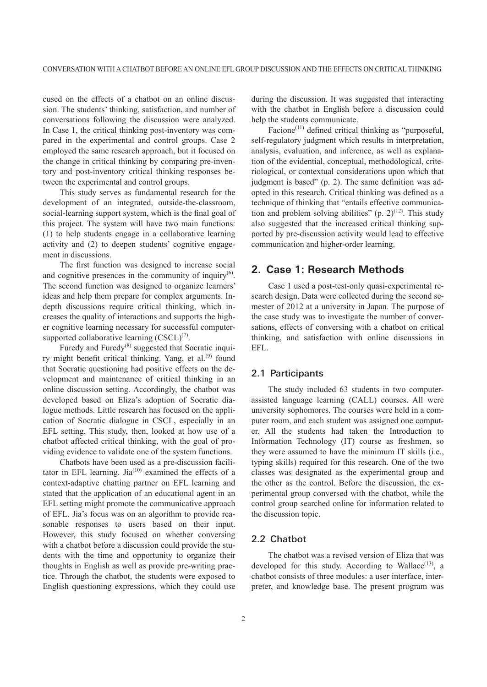cused on the effects of a chatbot on an online discussion. The students' thinking, satisfaction, and number of conversations following the discussion were analyzed. In Case 1, the critical thinking post-inventory was compared in the experimental and control groups. Case 2 employed the same research approach, but it focused on the change in critical thinking by comparing pre-inventory and post-inventory critical thinking responses between the experimental and control groups.

This study serves as fundamental research for the development of an integrated, outside-the-classroom, social-learning support system, which is the final goal of this project. The system will have two main functions: (1) to help students engage in a collaborative learning activity and (2) to deepen students' cognitive engagement in discussions.

The first function was designed to increase social and cognitive presences in the community of inquiry $<sup>(6)</sup>$ .</sup> The second function was designed to organize learners' ideas and help them prepare for complex arguments. Indepth discussions require critical thinking, which increases the quality of interactions and supports the higher cognitive learning necessary for successful computersupported collaborative learning  $(CSCL)^{(7)}$ .

Furedy and Furedy $(8)$  suggested that Socratic inquiry might benefit critical thinking. Yang, et al. $^{(9)}$  found that Socratic questioning had positive effects on the development and maintenance of critical thinking in an online discussion setting. Accordingly, the chatbot was developed based on Eliza's adoption of Socratic dialogue methods. Little research has focused on the application of Socratic dialogue in CSCL, especially in an EFL setting. This study, then, looked at how use of a chatbot affected critical thinking, with the goal of providing evidence to validate one of the system functions.

Chatbots have been used as a pre-discussion facilitator in EFL learning.  $Jia^{(10)}$  examined the effects of a context-adaptive chatting partner on EFL learning and stated that the application of an educational agent in an EFL setting might promote the communicative approach of EFL. Jia's focus was on an algorithm to provide reasonable responses to users based on their input. However, this study focused on whether conversing with a chatbot before a discussion could provide the students with the time and opportunity to organize their thoughts in English as well as provide pre-writing practice. Through the chatbot, the students were exposed to English questioning expressions, which they could use

during the discussion. It was suggested that interacting with the chatbot in English before a discussion could help the students communicate.

Facione<sup>(11)</sup> defined critical thinking as "purposeful, self-regulatory judgment which results in interpretation, analysis, evaluation, and inference, as well as explanation of the evidential, conceptual, methodological, criteriological, or contextual considerations upon which that judgment is based" (p. 2). The same definition was adopted in this research. Critical thinking was defined as a technique of thinking that "entails effective communication and problem solving abilities"  $(p, 2)^{(12)}$ . This study also suggested that the increased critical thinking supported by pre-discussion activity would lead to effective communication and higher-order learning.

# **2. Case 1: Research Methods**

Case 1 used a post-test-only quasi-experimental research design. Data were collected during the second semester of 2012 at a university in Japan. The purpose of the case study was to investigate the number of conversations, effects of conversing with a chatbot on critical thinking, and satisfaction with online discussions in EFL.

#### 2.1 Participants

The study included 63 students in two computerassisted language learning (CALL) courses. All were university sophomores. The courses were held in a computer room, and each student was assigned one computer. All the students had taken the Introduction to Information Technology (IT) course as freshmen, so they were assumed to have the minimum IT skills (i.e., typing skills) required for this research. One of the two classes was designated as the experimental group and the other as the control. Before the discussion, the experimental group conversed with the chatbot, while the control group searched online for information related to the discussion topic.

# 2.2 Chatbot

The chatbot was a revised version of Eliza that was developed for this study. According to Wallace<sup>(13)</sup>, a chatbot consists of three modules: a user interface, interpreter, and knowledge base. The present program was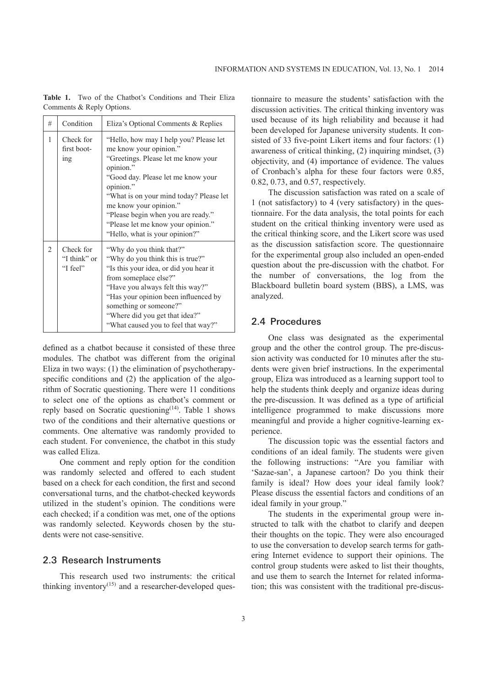| #            | Condition                             | Eliza's Optional Comments & Replies                                                                                                                                                                                                                                                                                                                        |  |  |  |  |
|--------------|---------------------------------------|------------------------------------------------------------------------------------------------------------------------------------------------------------------------------------------------------------------------------------------------------------------------------------------------------------------------------------------------------------|--|--|--|--|
| $\mathbf{1}$ | Check for<br>first boot-<br>ing       | "Hello, how may I help you? Please let<br>me know your opinion."<br>"Greetings. Please let me know your<br>opinion."<br>"Good day. Please let me know your<br>opinion."<br>"What is on your mind today? Please let<br>me know your opinion."<br>"Please begin when you are ready."<br>"Please let me know your opinion."<br>"Hello, what is your opinion?" |  |  |  |  |
| 2            | Check for<br>"I think" or<br>"I feel" | "Why do you think that?"<br>"Why do you think this is true?"<br>"Is this your idea, or did you hear it<br>from someplace else?"<br>"Have you always felt this way?"<br>"Has your opinion been influenced by<br>something or someone?"<br>"Where did you get that idea?"<br>"What caused you to feel that way?"                                             |  |  |  |  |

**Table 1.** Two of the Chatbot's Conditions and Their Eliza Comments & Reply Options.

defined as a chatbot because it consisted of these three modules. The chatbot was different from the original Eliza in two ways: (1) the elimination of psychotherapyspecific conditions and (2) the application of the algorithm of Socratic questioning. There were 11 conditions to select one of the options as chatbot's comment or reply based on Socratic questioning<sup> $(14)$ </sup>. Table 1 shows two of the conditions and their alternative questions or comments. One alternative was randomly provided to each student. For convenience, the chatbot in this study was called Eliza.

One comment and reply option for the condition was randomly selected and offered to each student based on a check for each condition, the first and second conversational turns, and the chatbot-checked keywords utilized in the student's opinion. The conditions were each checked; if a condition was met, one of the options was randomly selected. Keywords chosen by the students were not case-sensitive.

### 2.3 Research Instruments

This research used two instruments: the critical thinking inventory $^{(15)}$  and a researcher-developed questionnaire to measure the students' satisfaction with the discussion activities. The critical thinking inventory was used because of its high reliability and because it had been developed for Japanese university students. It consisted of 33 five-point Likert items and four factors: (1) awareness of critical thinking, (2) inquiring mindset, (3) objectivity, and (4) importance of evidence. The values of Cronbach's alpha for these four factors were 0.85, 0.82, 0.73, and 0.57, respectively.

The discussion satisfaction was rated on a scale of 1 (not satisfactory) to 4 (very satisfactory) in the questionnaire. For the data analysis, the total points for each student on the critical thinking inventory were used as the critical thinking score, and the Likert score was used as the discussion satisfaction score. The questionnaire for the experimental group also included an open-ended question about the pre-discussion with the chatbot. For the number of conversations, the log from the Blackboard bulletin board system (BBS), a LMS, was analyzed.

# 2.4 Procedures

One class was designated as the experimental group and the other the control group. The pre-discussion activity was conducted for 10 minutes after the students were given brief instructions. In the experimental group, Eliza was introduced as a learning support tool to help the students think deeply and organize ideas during the pre-discussion. It was defined as a type of artificial intelligence programmed to make discussions more meaningful and provide a higher cognitive-learning experience.

The discussion topic was the essential factors and conditions of an ideal family. The students were given the following instructions: "Are you familiar with 'Sazae-san', a Japanese cartoon? Do you think their family is ideal? How does your ideal family look? Please discuss the essential factors and conditions of an ideal family in your group."

The students in the experimental group were instructed to talk with the chatbot to clarify and deepen their thoughts on the topic. They were also encouraged to use the conversation to develop search terms for gathering Internet evidence to support their opinions. The control group students were asked to list their thoughts, and use them to search the Internet for related information; this was consistent with the traditional pre-discus-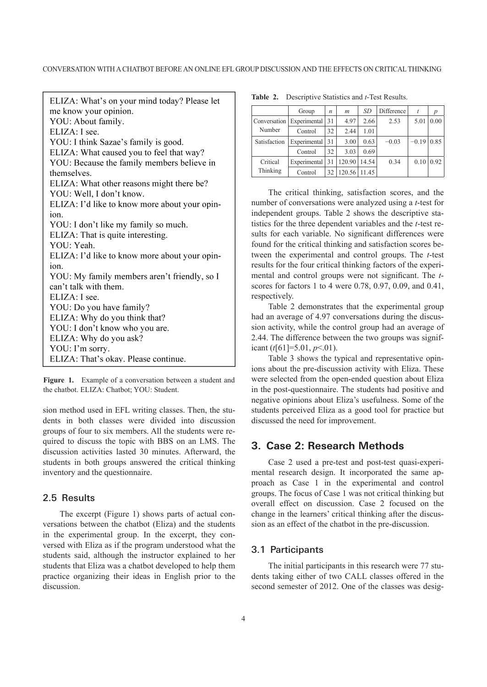ELIZA: What's on your mind today? Please let me know your opinion. YOU: About family. ELIZA: I see. YOU: I think Sazae's family is good. ELIZA: What caused you to feel that way? YOU: Because the family members believe in themselves. ELIZA: What other reasons might there be? YOU: Well, I don't know. ELIZA: I'd like to know more about your opinion. YOU: I don't like my family so much. ELIZA: That is quite interesting. YOU: Yeah. ELIZA: I'd like to know more about your opinion YOU: My family members aren't friendly, so I can't talk with them. ELIZA: I see. YOU: Do you have family? ELIZA: Why do you think that? YOU: I don't know who you are. ELIZA: Why do you ask? YOU: I'm sorry. ELIZA: That's okay. Please continue.

**Figure 1.** Example of a conversation between a student and the chatbot. ELIZA: Chatbot; YOU: Student.

sion method used in EFL writing classes. Then, the students in both classes were divided into discussion groups of four to six members. All the students were required to discuss the topic with BBS on an LMS. The discussion activities lasted 30 minutes. Afterward, the students in both groups answered the critical thinking inventory and the questionnaire.

# 2.5 Results

The excerpt (Figure 1) shows parts of actual conversations between the chatbot (Eliza) and the students in the experimental group. In the excerpt, they conversed with Eliza as if the program understood what the students said, although the instructor explained to her students that Eliza was a chatbot developed to help them practice organizing their ideas in English prior to the discussion.

**Table 2.** Descriptive Statistics and *t*-Test Results.

|              | Group        | $\boldsymbol{n}$ | m      | SD    | Difference | t       | $\boldsymbol{p}$   |
|--------------|--------------|------------------|--------|-------|------------|---------|--------------------|
| Conversation | Experimental | 31               | 4.97   | 2.66  | 2.53       | 5.01    | 0.00               |
| Number       | Control      | 32               | 2.44   | 1.01  |            |         |                    |
| Satisfaction | Experimental | 31               | 3.00   | 0.63  | $-0.03$    | $-0.19$ | 0.85               |
|              | Control      | 32               | 3.03   | 0.69  |            |         |                    |
| Critical     | Experimental | 31               | 120.90 | 14.54 | 0.34       | 0.10    | $\vert 0.92 \vert$ |
| Thinking     | Control      | 32               | 120.56 | 11.45 |            |         |                    |

The critical thinking, satisfaction scores, and the number of conversations were analyzed using a *t*-test for independent groups. Table 2 shows the descriptive statistics for the three dependent variables and the *t*-test results for each variable. No significant differences were found for the critical thinking and satisfaction scores between the experimental and control groups. The *t*-test results for the four critical thinking factors of the experimental and control groups were not significant. The *t*scores for factors 1 to 4 were 0.78, 0.97, 0.09, and 0.41, respectively.

Table 2 demonstrates that the experimental group had an average of 4.97 conversations during the discussion activity, while the control group had an average of 2.44. The difference between the two groups was significant (*t*[61]=5.01, *p*<.01).

Table 3 shows the typical and representative opinions about the pre-discussion activity with Eliza. These were selected from the open-ended question about Eliza in the post-questionnaire. The students had positive and negative opinions about Eliza's usefulness. Some of the students perceived Eliza as a good tool for practice but discussed the need for improvement.

# **3. Case 2: Research Methods**

Case 2 used a pre-test and post-test quasi-experimental research design. It incorporated the same approach as Case 1 in the experimental and control groups. The focus of Case 1 was not critical thinking but overall effect on discussion. Case 2 focused on the change in the learners' critical thinking after the discussion as an effect of the chatbot in the pre-discussion.

# 3.1 Participants

The initial participants in this research were 77 students taking either of two CALL classes offered in the second semester of 2012. One of the classes was desig-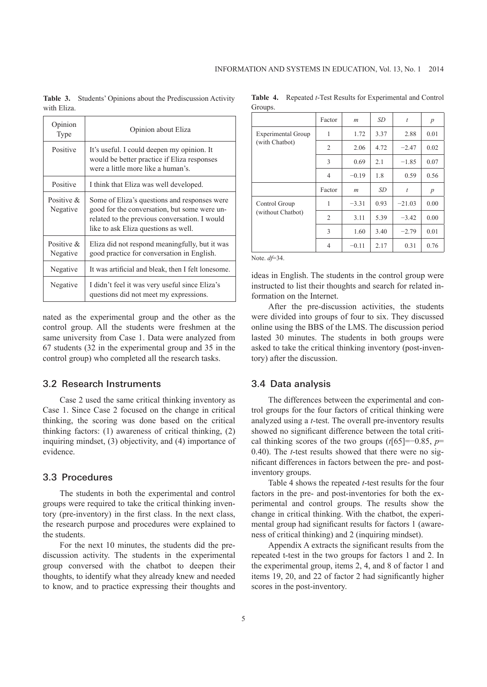**Table 3.** Students' Opinions about the Prediscussion Activity with Eliza.

| Opinion<br>Type           | Opinion about Eliza                                                                                                                                                                   |
|---------------------------|---------------------------------------------------------------------------------------------------------------------------------------------------------------------------------------|
| Positive                  | It's useful. I could deepen my opinion. It<br>would be better practice if Eliza responses<br>were a little more like a human's.                                                       |
| Positive                  | I think that Eliza was well developed.                                                                                                                                                |
| Positive $\&$<br>Negative | Some of Eliza's questions and responses were<br>good for the conversation, but some were un-<br>related to the previous conversation. I would<br>like to ask Eliza questions as well. |
| Positive $\&$<br>Negative | Eliza did not respond meaningfully, but it was<br>good practice for conversation in English.                                                                                          |
| Negative                  | It was artificial and bleak, then I felt lonesome.                                                                                                                                    |
| Negative                  | I didn't feel it was very useful since Eliza's<br>questions did not meet my expressions.                                                                                              |

nated as the experimental group and the other as the control group. All the students were freshmen at the same university from Case 1. Data were analyzed from 67 students (32 in the experimental group and 35 in the control group) who completed all the research tasks.

#### 3.2 Research Instruments

Case 2 used the same critical thinking inventory as Case 1. Since Case 2 focused on the change in critical thinking, the scoring was done based on the critical thinking factors: (1) awareness of critical thinking, (2) inquiring mindset, (3) objectivity, and (4) importance of evidence.

# 3.3 Procedures

The students in both the experimental and control groups were required to take the critical thinking inventory (pre-inventory) in the first class. In the next class, the research purpose and procedures were explained to the students.

For the next 10 minutes, the students did the prediscussion activity. The students in the experimental group conversed with the chatbot to deepen their thoughts, to identify what they already knew and needed to know, and to practice expressing their thoughts and

| Groups.                   |                |                  |      |              |                  |  |  |  |
|---------------------------|----------------|------------------|------|--------------|------------------|--|--|--|
|                           | Factor         | $\boldsymbol{m}$ | SD   | t            | $\boldsymbol{p}$ |  |  |  |
| <b>Experimental Group</b> | 1              | 1.72             | 3.37 | 2.88         | 0.01             |  |  |  |
| (with Chatbot)            | 2              | 2.06             | 4.72 | $-2.47$      | 0.02             |  |  |  |
|                           | 3              | 0.69             | 2.1  | $-1.85$      | 0.07             |  |  |  |
|                           | 4              | $-0.19$          | 1.8  | 0.59         | 0.56             |  |  |  |
|                           | Factor         | $\boldsymbol{m}$ | SD   | $\mathbf{t}$ | $\boldsymbol{p}$ |  |  |  |
| Control Group             | 1              | $-3.31$          | 0.93 | $-21.03$     | 0.00             |  |  |  |
| (without Chatbot)         | $\overline{2}$ | 3.11             | 5.39 | $-3.42$      | 0.00             |  |  |  |
|                           | 3              | 1.60             | 3.40 | $-2.79$      | 0.01             |  |  |  |
|                           | 4              | $-0.11$          | 2.17 | 0.31         | 0.76             |  |  |  |

**Table 4.** Repeated *t*-Test Results for Experimental and Control

#### Note. *df*=34.

ideas in English. The students in the control group were instructed to list their thoughts and search for related information on the Internet.

After the pre-discussion activities, the students were divided into groups of four to six. They discussed online using the BBS of the LMS. The discussion period lasted 30 minutes. The students in both groups were asked to take the critical thinking inventory (post-inventory) after the discussion.

#### 3.4 Data analysis

The differences between the experimental and control groups for the four factors of critical thinking were analyzed using a *t*-test. The overall pre-inventory results showed no significant difference between the total critical thinking scores of the two groups (*t*[65]=−0.85, *p*= 0.40). The *t*-test results showed that there were no significant differences in factors between the pre- and postinventory groups.

Table 4 shows the repeated *t*-test results for the four factors in the pre- and post-inventories for both the experimental and control groups. The results show the change in critical thinking. With the chatbot, the experimental group had significant results for factors 1 (awareness of critical thinking) and 2 (inquiring mindset).

Appendix A extracts the significant results from the repeated t-test in the two groups for factors 1 and 2. In the experimental group, items 2, 4, and 8 of factor 1 and items 19, 20, and 22 of factor 2 had significantly higher scores in the post-inventory.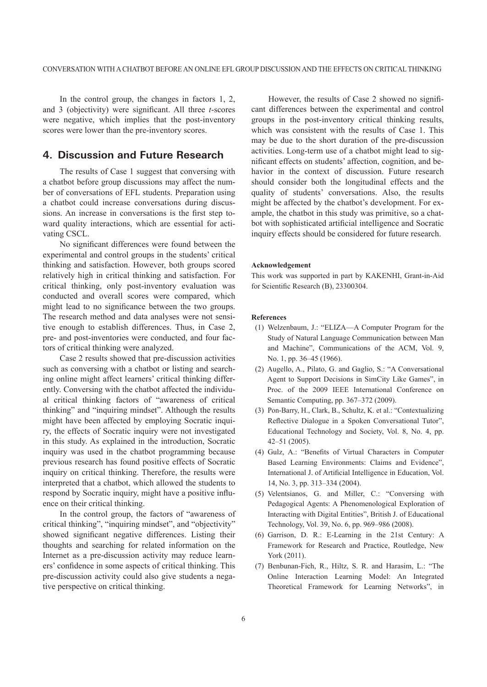In the control group, the changes in factors 1, 2, and 3 (objectivity) were significant. All three *t*-scores were negative, which implies that the post-inventory scores were lower than the pre-inventory scores.

# **4. Discussion and Future Research**

The results of Case 1 suggest that conversing with a chatbot before group discussions may affect the number of conversations of EFL students. Preparation using a chatbot could increase conversations during discussions. An increase in conversations is the first step toward quality interactions, which are essential for activating CSCL.

No significant differences were found between the experimental and control groups in the students' critical thinking and satisfaction. However, both groups scored relatively high in critical thinking and satisfaction. For critical thinking, only post-inventory evaluation was conducted and overall scores were compared, which might lead to no significance between the two groups. The research method and data analyses were not sensitive enough to establish differences. Thus, in Case 2, pre- and post-inventories were conducted, and four factors of critical thinking were analyzed.

Case 2 results showed that pre-discussion activities such as conversing with a chatbot or listing and searching online might affect learners' critical thinking differently. Conversing with the chatbot affected the individual critical thinking factors of "awareness of critical thinking" and "inquiring mindset". Although the results might have been affected by employing Socratic inquiry, the effects of Socratic inquiry were not investigated in this study. As explained in the introduction, Socratic inquiry was used in the chatbot programming because previous research has found positive effects of Socratic inquiry on critical thinking. Therefore, the results were interpreted that a chatbot, which allowed the students to respond by Socratic inquiry, might have a positive influence on their critical thinking.

In the control group, the factors of "awareness of critical thinking", "inquiring mindset", and "objectivity" showed significant negative differences. Listing their thoughts and searching for related information on the Internet as a pre-discussion activity may reduce learners' confidence in some aspects of critical thinking. This pre-discussion activity could also give students a negative perspective on critical thinking.

However, the results of Case 2 showed no significant differences between the experimental and control groups in the post-inventory critical thinking results, which was consistent with the results of Case 1. This may be due to the short duration of the pre-discussion activities. Long-term use of a chatbot might lead to significant effects on students' affection, cognition, and behavior in the context of discussion. Future research should consider both the longitudinal effects and the quality of students' conversations. Also, the results might be affected by the chatbot's development. For example, the chatbot in this study was primitive, so a chatbot with sophisticated artificial intelligence and Socratic inquiry effects should be considered for future research.

#### **Acknowledgement**

This work was supported in part by KAKENHI, Grant-in-Aid for Scientific Research (B), 23300304.

#### **References**

- (1) Welzenbaum, J.: "ELIZA—A Computer Program for the Study of Natural Language Communication between Man and Machine", Communications of the ACM, Vol. 9, No. 1, pp. 36–45 (1966).
- (2) Augello, A., Pilato, G. and Gaglio, S.: "A Conversational Agent to Support Decisions in SimCity Like Games", in Proc. of the 2009 IEEE International Conference on Semantic Computing, pp. 367–372 (2009).
- (3) Pon-Barry, H., Clark, B., Schultz, K. et al.: "Contextualizing Reflective Dialogue in a Spoken Conversational Tutor", Educational Technology and Society, Vol. 8, No. 4, pp. 42–51 (2005).
- (4) Gulz, A.: "Benefits of Virtual Characters in Computer Based Learning Environments: Claims and Evidence", International J. of Artificial Intelligence in Education, Vol. 14, No. 3, pp. 313–334 (2004).
- (5) Velentsianos, G. and Miller, C.: "Conversing with Pedagogical Agents: A Phenomenological Exploration of Interacting with Digital Entities", British J. of Educational Technology, Vol. 39, No. 6, pp. 969–986 (2008).
- (6) Garrison, D. R.: E-Learning in the 21st Century: A Framework for Research and Practice, Routledge, New York (2011).
- (7) Benbunan-Fich, R., Hiltz, S. R. and Harasim, L.: "The Online Interaction Learning Model: An Integrated Theoretical Framework for Learning Networks", in